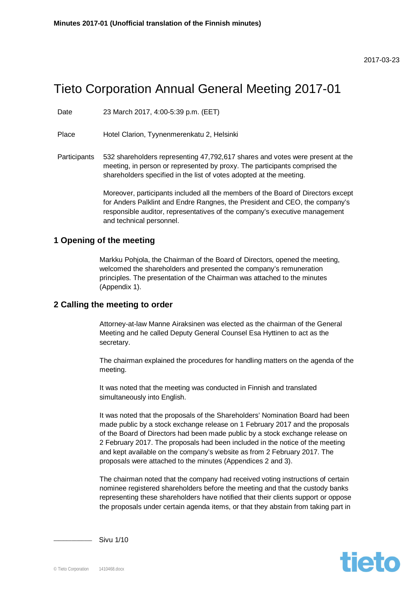#### 2017-03-23

# Tieto Corporation Annual General Meeting 2017-01

Date 23 March 2017, 4:00-5:39 p.m. (EET)

Place Hotel Clarion, Tyynenmerenkatu 2, Helsinki

Participants 532 shareholders representing 47,792,617 shares and votes were present at the meeting, in person or represented by proxy. The participants comprised the shareholders specified in the list of votes adopted at the meeting.

> Moreover, participants included all the members of the Board of Directors except for Anders Palklint and Endre Rangnes, the President and CEO, the company's responsible auditor, representatives of the company's executive management and technical personnel.

#### **1 Opening of the meeting**

Markku Pohjola, the Chairman of the Board of Directors, opened the meeting, welcomed the shareholders and presented the company's remuneration principles. The presentation of the Chairman was attached to the minutes (Appendix 1).

#### **2 Calling the meeting to order**

Attorney-at-law Manne Airaksinen was elected as the chairman of the General Meeting and he called Deputy General Counsel Esa Hyttinen to act as the secretary.

The chairman explained the procedures for handling matters on the agenda of the meeting.

It was noted that the meeting was conducted in Finnish and translated simultaneously into English.

It was noted that the proposals of the Shareholders' Nomination Board had been made public by a stock exchange release on 1 February 2017 and the proposals of the Board of Directors had been made public by a stock exchange release on 2 February 2017. The proposals had been included in the notice of the meeting and kept available on the company's website as from 2 February 2017. The proposals were attached to the minutes (Appendices 2 and 3).

The chairman noted that the company had received voting instructions of certain nominee registered shareholders before the meeting and that the custody banks representing these shareholders have notified that their clients support or oppose the proposals under certain agenda items, or that they abstain from taking part in



\_\_\_\_\_\_\_\_\_\_\_\_\_\_\_ Sivu 1/10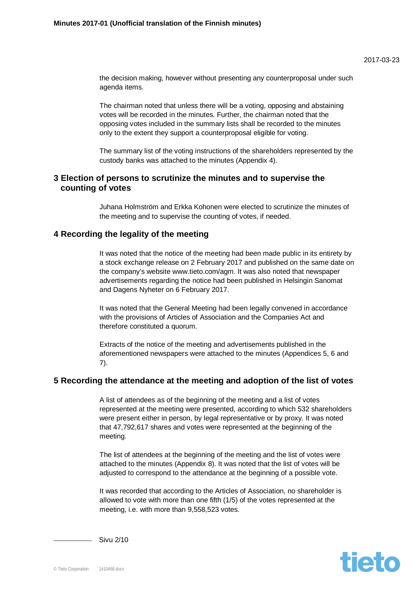the decision making, however without presenting any counterproposal under such agenda items.

The chairman noted that unless there will be a voting, opposing and abstaining votes will be recorded in the minutes. Further, the chairman noted that the opposing votes included in the summary lists shall be recorded to the minutes only to the extent they support a counterproposal eligible for voting.

The summary list of the voting instructions of the shareholders represented by the custody banks was attached to the minutes (Appendix 4).

#### **3 Election of persons to scrutinize the minutes and to supervise the counting of votes**

Juhana Holmström and Erkka Kohonen were elected to scrutinize the minutes of the meeting and to supervise the counting of votes, if needed.

# **4 Recording the legality of the meeting**

It was noted that the notice of the meeting had been made public in its entirety by a stock exchange release on 2 February 2017 and published on the same date on the company's website www.tieto.com/agm. It was also noted that newspaper advertisements regarding the notice had been published in Helsingin Sanomat and Dagens Nyheter on 6 February 2017.

It was noted that the General Meeting had been legally convened in accordance with the provisions of Articles of Association and the Companies Act and therefore constituted a quorum.

Extracts of the notice of the meeting and advertisements published in the aforementioned newspapers were attached to the minutes (Appendices 5, 6 and 7).

#### **5 Recording the attendance at the meeting and adoption of the list of votes**

A list of attendees as of the beginning of the meeting and a list of votes represented at the meeting were presented, according to which 532 shareholders were present either in person, by legal representative or by proxy. It was noted that 47,792,617 shares and votes were represented at the beginning of the meeting.

The list of attendees at the beginning of the meeting and the list of votes were attached to the minutes (Appendix 8). It was noted that the list of votes will be adjusted to correspond to the attendance at the beginning of a possible vote.

It was recorded that according to the Articles of Association, no shareholder is allowed to vote with more than one fifth (1/5) of the votes represented at the meeting, i.e. with more than 9,558,523 votes.



\_\_\_\_\_\_\_\_\_\_\_\_\_\_\_ Sivu 2/10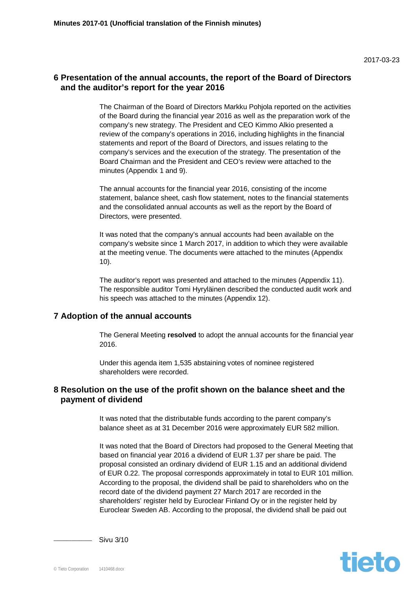# **6 Presentation of the annual accounts, the report of the Board of Directors and the auditor's report for the year 2016**

The Chairman of the Board of Directors Markku Pohjola reported on the activities of the Board during the financial year 2016 as well as the preparation work of the company's new strategy. The President and CEO Kimmo Alkio presented a review of the company's operations in 2016, including highlights in the financial statements and report of the Board of Directors, and issues relating to the company's services and the execution of the strategy. The presentation of the Board Chairman and the President and CEO's review were attached to the minutes (Appendix 1 and 9).

The annual accounts for the financial year 2016, consisting of the income statement, balance sheet, cash flow statement, notes to the financial statements and the consolidated annual accounts as well as the report by the Board of Directors, were presented.

It was noted that the company's annual accounts had been available on the company's website since 1 March 2017, in addition to which they were available at the meeting venue. The documents were attached to the minutes (Appendix 10).

The auditor's report was presented and attached to the minutes (Appendix 11). The responsible auditor Tomi Hyryläinen described the conducted audit work and his speech was attached to the minutes (Appendix 12).

## **7 Adoption of the annual accounts**

The General Meeting **resolved** to adopt the annual accounts for the financial year 2016.

Under this agenda item 1,535 abstaining votes of nominee registered shareholders were recorded.

## **8 Resolution on the use of the profit shown on the balance sheet and the payment of dividend**

It was noted that the distributable funds according to the parent company's balance sheet as at 31 December 2016 were approximately EUR 582 million.

It was noted that the Board of Directors had proposed to the General Meeting that based on financial year 2016 a dividend of EUR 1.37 per share be paid. The proposal consisted an ordinary dividend of EUR 1.15 and an additional dividend of EUR 0.22. The proposal corresponds approximately in total to EUR 101 million. According to the proposal, the dividend shall be paid to shareholders who on the record date of the dividend payment 27 March 2017 are recorded in the shareholders' register held by Euroclear Finland Oy or in the register held by Euroclear Sweden AB. According to the proposal, the dividend shall be paid out



\_\_\_\_\_\_\_\_\_\_\_\_\_\_\_ Sivu 3/10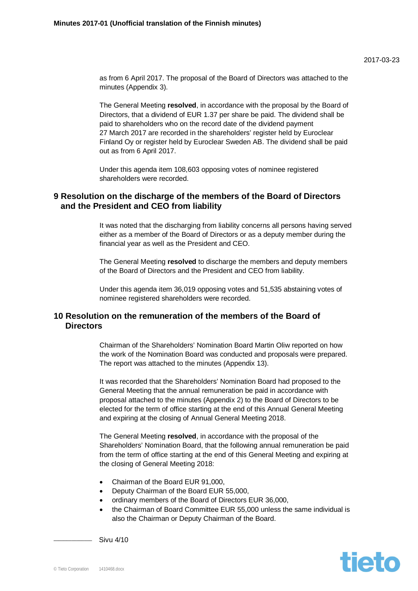tieto

as from 6 April 2017. The proposal of the Board of Directors was attached to the minutes (Appendix 3).

The General Meeting **resolved**, in accordance with the proposal by the Board of Directors, that a dividend of EUR 1.37 per share be paid. The dividend shall be paid to shareholders who on the record date of the dividend payment 27 March 2017 are recorded in the shareholders' register held by Euroclear Finland Oy or register held by Euroclear Sweden AB. The dividend shall be paid out as from 6 April 2017.

Under this agenda item 108,603 opposing votes of nominee registered shareholders were recorded.

## **9 Resolution on the discharge of the members of the Board of Directors and the President and CEO from liability**

It was noted that the discharging from liability concerns all persons having served either as a member of the Board of Directors or as a deputy member during the financial year as well as the President and CEO.

The General Meeting **resolved** to discharge the members and deputy members of the Board of Directors and the President and CEO from liability.

Under this agenda item 36,019 opposing votes and 51,535 abstaining votes of nominee registered shareholders were recorded.

# **10 Resolution on the remuneration of the members of the Board of Directors**

Chairman of the Shareholders' Nomination Board Martin Oliw reported on how the work of the Nomination Board was conducted and proposals were prepared. The report was attached to the minutes (Appendix 13).

It was recorded that the Shareholders' Nomination Board had proposed to the General Meeting that the annual remuneration be paid in accordance with proposal attached to the minutes (Appendix 2) to the Board of Directors to be elected for the term of office starting at the end of this Annual General Meeting and expiring at the closing of Annual General Meeting 2018.

The General Meeting **resolved**, in accordance with the proposal of the Shareholders' Nomination Board, that the following annual remuneration be paid from the term of office starting at the end of this General Meeting and expiring at the closing of General Meeting 2018:

- Chairman of the Board EUR 91,000.
- Deputy Chairman of the Board EUR 55,000,
- ordinary members of the Board of Directors EUR 36,000,
- the Chairman of Board Committee EUR 55,000 unless the same individual is also the Chairman or Deputy Chairman of the Board.

\_\_\_\_\_\_\_\_\_\_\_\_\_\_\_ Sivu 4/10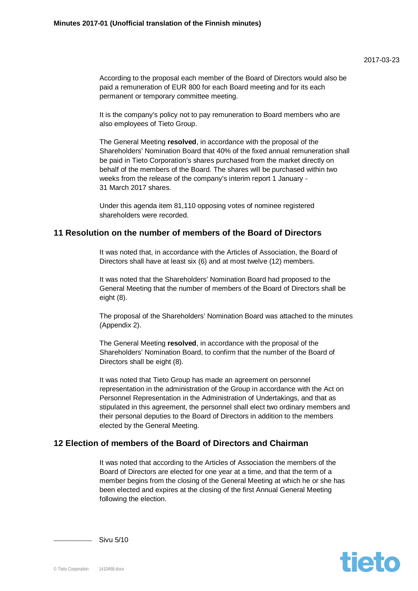According to the proposal each member of the Board of Directors would also be paid a remuneration of EUR 800 for each Board meeting and for its each permanent or temporary committee meeting.

It is the company's policy not to pay remuneration to Board members who are also employees of Tieto Group.

The General Meeting **resolved**, in accordance with the proposal of the Shareholders' Nomination Board that 40% of the fixed annual remuneration shall be paid in Tieto Corporation's shares purchased from the market directly on behalf of the members of the Board. The shares will be purchased within two weeks from the release of the company's interim report 1 January - 31 March 2017 shares.

Under this agenda item 81,110 opposing votes of nominee registered shareholders were recorded.

#### **11 Resolution on the number of members of the Board of Directors**

It was noted that, in accordance with the Articles of Association, the Board of Directors shall have at least six (6) and at most twelve (12) members.

It was noted that the Shareholders' Nomination Board had proposed to the General Meeting that the number of members of the Board of Directors shall be eight (8).

The proposal of the Shareholders' Nomination Board was attached to the minutes (Appendix 2).

The General Meeting **resolved**, in accordance with the proposal of the Shareholders' Nomination Board, to confirm that the number of the Board of Directors shall be eight (8).

It was noted that Tieto Group has made an agreement on personnel representation in the administration of the Group in accordance with the Act on Personnel Representation in the Administration of Undertakings, and that as stipulated in this agreement, the personnel shall elect two ordinary members and their personal deputies to the Board of Directors in addition to the members elected by the General Meeting.

# **12 Election of members of the Board of Directors and Chairman**

It was noted that according to the Articles of Association the members of the Board of Directors are elected for one year at a time, and that the term of a member begins from the closing of the General Meeting at which he or she has been elected and expires at the closing of the first Annual General Meeting following the election.



Sivu 5/10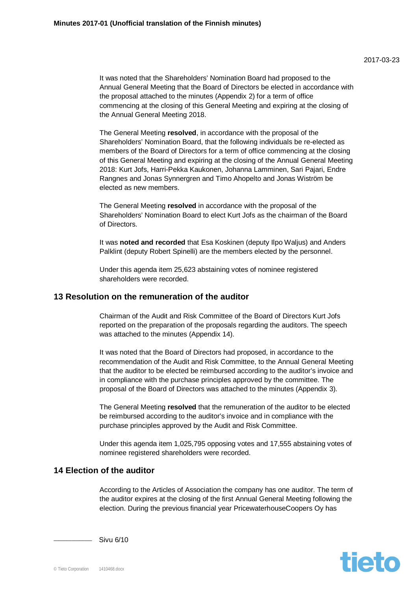It was noted that the Shareholders' Nomination Board had proposed to the Annual General Meeting that the Board of Directors be elected in accordance with the proposal attached to the minutes (Appendix 2) for a term of office commencing at the closing of this General Meeting and expiring at the closing of the Annual General Meeting 2018.

The General Meeting **resolved**, in accordance with the proposal of the Shareholders' Nomination Board, that the following individuals be re-elected as members of the Board of Directors for a term of office commencing at the closing of this General Meeting and expiring at the closing of the Annual General Meeting 2018: Kurt Jofs, Harri-Pekka Kaukonen, Johanna Lamminen, Sari Pajari, Endre Rangnes and Jonas Synnergren and Timo Ahopelto and Jonas Wiström be elected as new members.

The General Meeting **resolved** in accordance with the proposal of the Shareholders' Nomination Board to elect Kurt Jofs as the chairman of the Board of Directors.

It was **noted and recorded** that Esa Koskinen (deputy Ilpo Waljus) and Anders Palklint (deputy Robert Spinelli) are the members elected by the personnel.

Under this agenda item 25,623 abstaining votes of nominee registered shareholders were recorded.

#### **13 Resolution on the remuneration of the auditor**

Chairman of the Audit and Risk Committee of the Board of Directors Kurt Jofs reported on the preparation of the proposals regarding the auditors. The speech was attached to the minutes (Appendix 14).

It was noted that the Board of Directors had proposed, in accordance to the recommendation of the Audit and Risk Committee, to the Annual General Meeting that the auditor to be elected be reimbursed according to the auditor's invoice and in compliance with the purchase principles approved by the committee. The proposal of the Board of Directors was attached to the minutes (Appendix 3).

The General Meeting **resolved** that the remuneration of the auditor to be elected be reimbursed according to the auditor's invoice and in compliance with the purchase principles approved by the Audit and Risk Committee.

Under this agenda item 1,025,795 opposing votes and 17,555 abstaining votes of nominee registered shareholders were recorded.

# **14 Election of the auditor**

According to the Articles of Association the company has one auditor. The term of the auditor expires at the closing of the first Annual General Meeting following the election. During the previous financial year PricewaterhouseCoopers Oy has



Sivu 6/10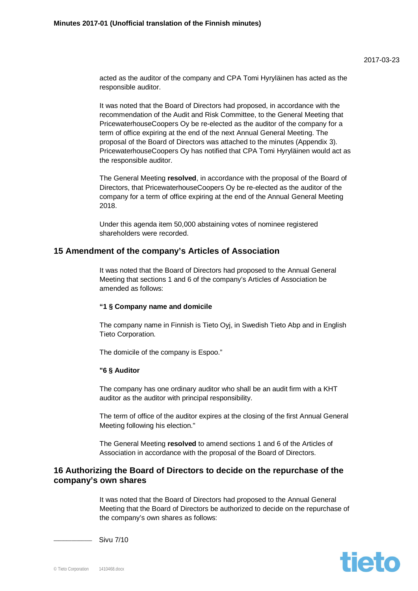acted as the auditor of the company and CPA Tomi Hyryläinen has acted as the responsible auditor.

It was noted that the Board of Directors had proposed, in accordance with the recommendation of the Audit and Risk Committee, to the General Meeting that PricewaterhouseCoopers Oy be re-elected as the auditor of the company for a term of office expiring at the end of the next Annual General Meeting. The proposal of the Board of Directors was attached to the minutes (Appendix 3). PricewaterhouseCoopers Oy has notified that CPA Tomi Hyryläinen would act as the responsible auditor.

The General Meeting **resolved**, in accordance with the proposal of the Board of Directors, that PricewaterhouseCoopers Oy be re-elected as the auditor of the company for a term of office expiring at the end of the Annual General Meeting 2018.

Under this agenda item 50,000 abstaining votes of nominee registered shareholders were recorded.

#### **15 Amendment of the company's Articles of Association**

It was noted that the Board of Directors had proposed to the Annual General Meeting that sections 1 and 6 of the company's Articles of Association be amended as follows:

#### **"1 § Company name and domicile**

The company name in Finnish is Tieto Oyj, in Swedish Tieto Abp and in English Tieto Corporation.

The domicile of the company is Espoo."

#### **"6 § Auditor**

The company has one ordinary auditor who shall be an audit firm with a KHT auditor as the auditor with principal responsibility.

The term of office of the auditor expires at the closing of the first Annual General Meeting following his election."

The General Meeting **resolved** to amend sections 1 and 6 of the Articles of Association in accordance with the proposal of the Board of Directors.

## **16 Authorizing the Board of Directors to decide on the repurchase of the company's own shares**

It was noted that the Board of Directors had proposed to the Annual General Meeting that the Board of Directors be authorized to decide on the repurchase of the company's own shares as follows:



Sivu 7/10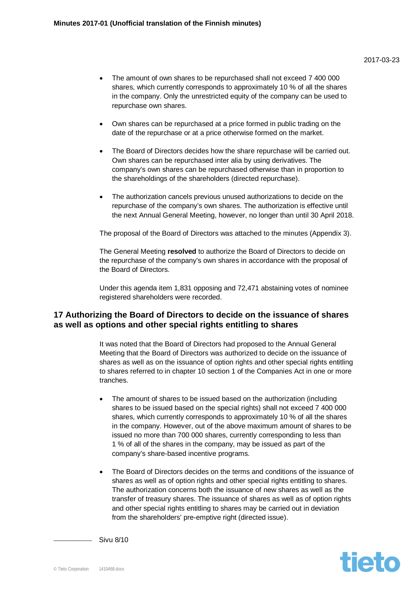- Own shares can be repurchased at a price formed in public trading on the date of the repurchase or at a price otherwise formed on the market.
- The Board of Directors decides how the share repurchase will be carried out. Own shares can be repurchased inter alia by using derivatives. The company's own shares can be repurchased otherwise than in proportion to the shareholdings of the shareholders (directed repurchase).
- The authorization cancels previous unused authorizations to decide on the repurchase of the company's own shares. The authorization is effective until the next Annual General Meeting, however, no longer than until 30 April 2018.

The proposal of the Board of Directors was attached to the minutes (Appendix 3).

The General Meeting **resolved** to authorize the Board of Directors to decide on the repurchase of the company's own shares in accordance with the proposal of the Board of Directors.

Under this agenda item 1,831 opposing and 72,471 abstaining votes of nominee registered shareholders were recorded.

# **17 Authorizing the Board of Directors to decide on the issuance of shares as well as options and other special rights entitling to shares**

It was noted that the Board of Directors had proposed to the Annual General Meeting that the Board of Directors was authorized to decide on the issuance of shares as well as on the issuance of option rights and other special rights entitling to shares referred to in chapter 10 section 1 of the Companies Act in one or more tranches.

- The amount of shares to be issued based on the authorization (including shares to be issued based on the special rights) shall not exceed 7 400 000 shares, which currently corresponds to approximately 10 % of all the shares in the company. However, out of the above maximum amount of shares to be issued no more than 700 000 shares, currently corresponding to less than 1 % of all of the shares in the company, may be issued as part of the company's share-based incentive programs.
- The Board of Directors decides on the terms and conditions of the issuance of shares as well as of option rights and other special rights entitling to shares. The authorization concerns both the issuance of new shares as well as the transfer of treasury shares. The issuance of shares as well as of option rights and other special rights entitling to shares may be carried out in deviation from the shareholders' pre-emptive right (directed issue).

tieto

Sivu 8/10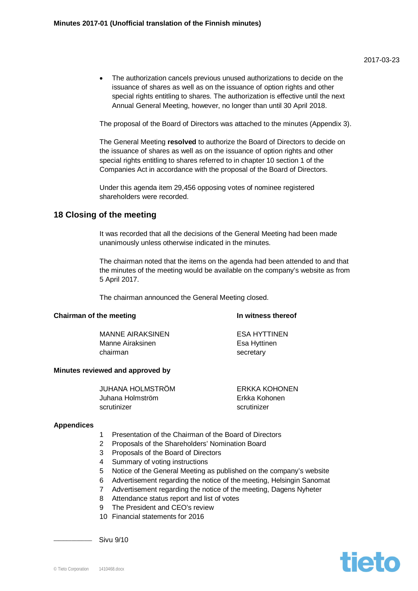The authorization cancels previous unused authorizations to decide on the issuance of shares as well as on the issuance of option rights and other special rights entitling to shares. The authorization is effective until the next Annual General Meeting, however, no longer than until 30 April 2018.

The proposal of the Board of Directors was attached to the minutes (Appendix 3).

The General Meeting **resolved** to authorize the Board of Directors to decide on the issuance of shares as well as on the issuance of option rights and other special rights entitling to shares referred to in chapter 10 section 1 of the Companies Act in accordance with the proposal of the Board of Directors.

Under this agenda item 29,456 opposing votes of nominee registered shareholders were recorded.

#### **18 Closing of the meeting**

It was recorded that all the decisions of the General Meeting had been made unanimously unless otherwise indicated in the minutes.

The chairman noted that the items on the agenda had been attended to and that the minutes of the meeting would be available on the company's website as from 5 April 2017.

The chairman announced the General Meeting closed.

#### **Chairman of the meeting In witness thereof**

MANNE AIRAKSINEN ESA HYTTINEN Manne Airaksinen **Esa Hyttinen** chairman secretary

#### **Minutes reviewed and approved by**

| JUHANA HOLMSTRÖM  | ERKKA KOHONEN |
|-------------------|---------------|
| Juhana Holmström. | Erkka Kohonen |
| scrutinizer       | scrutinizer   |

#### **Appendices**

- 1 Presentation of the Chairman of the Board of Directors
- 2 Proposals of the Shareholders' Nomination Board
- 3 Proposals of the Board of Directors
- 4 Summary of voting instructions
- 5 Notice of the General Meeting as published on the company's website
- 6 Advertisement regarding the notice of the meeting, Helsingin Sanomat
- 7 Advertisement regarding the notice of the meeting, Dagens Nyheter
- 8 Attendance status report and list of votes
- 9 The President and CEO's review
- 10 Financial statements for 2016

\_\_\_\_\_\_\_\_\_\_\_\_\_\_\_ Sivu 9/10